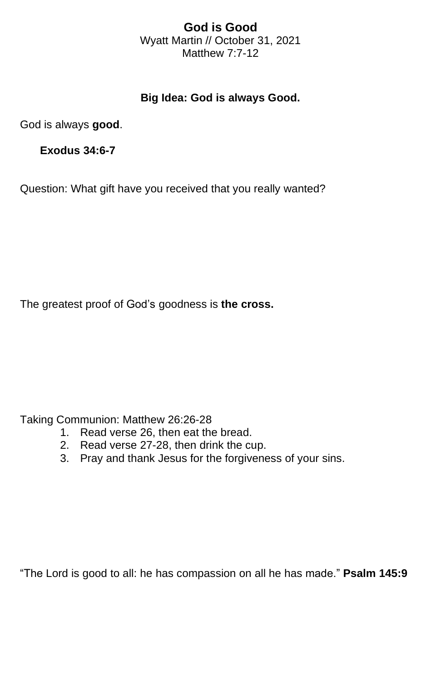## **God is Good** Wyatt Martin // October 31, 2021 Matthew 7:7-12

## **Big Idea: God is always Good.**

God is always **good**.

**Exodus 34:6-7**

Question: What gift have you received that you really wanted?

The greatest proof of God's goodness is **the cross.**

Taking Communion: Matthew 26:26-28

- 1. Read verse 26, then eat the bread.
- 2. Read verse 27-28, then drink the cup.
- 3. Pray and thank Jesus for the forgiveness of your sins.

"The Lord is good to all: he has compassion on all he has made." **Psalm 145:9**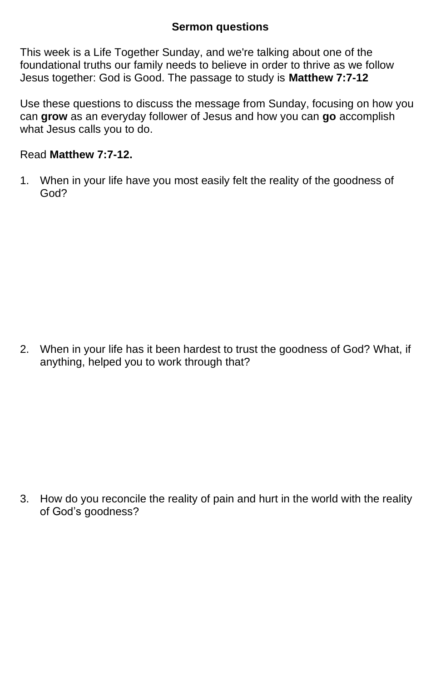## **Sermon questions**

This week is a Life Together Sunday, and we're talking about one of the foundational truths our family needs to believe in order to thrive as we follow Jesus together: God is Good. The passage to study is **Matthew 7:7-12**

Use these questions to discuss the message from Sunday, focusing on how you can **grow** as an everyday follower of Jesus and how you can **go** accomplish what Jesus calls you to do.

## Read **Matthew 7:7-12.**

1. When in your life have you most easily felt the reality of the goodness of God?

2. When in your life has it been hardest to trust the goodness of God? What, if anything, helped you to work through that?

3. How do you reconcile the reality of pain and hurt in the world with the reality of God's goodness?